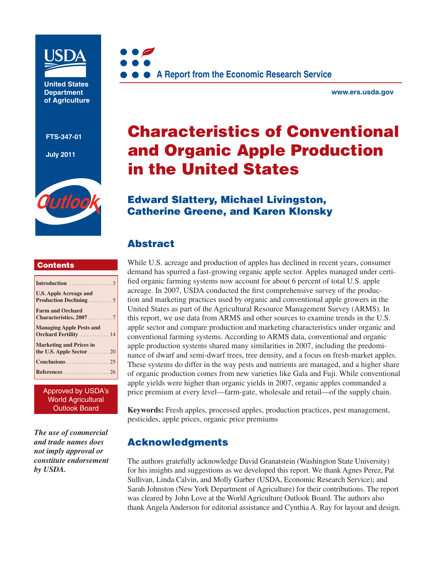

**United States Department of Agriculture** 

**FTS-347-01**

**July 2011**



#### **Contents**

| <b>U.S. Apple Acreage and</b><br>Production Declining 5                  |  |
|--------------------------------------------------------------------------|--|
| <b>Farm and Orchard</b><br>Characteristics, $20077$                      |  |
| <b>Managing Apple Pests and</b><br>Orchard Fertility  14                 |  |
| <b>Marketing and Prices in</b><br>the U.S. Apple Sector $\dots \dots 20$ |  |
| Conclusions 25                                                           |  |
| References 26                                                            |  |

Approved by USDA's World Agricultural Outlook Board

*The use of commercial and trade names does not imply approval or constitute endorsement by USDA.*



**www.ers.usda.gov** 

# **Characteristics of Conventional and Organic Apple Production in the United States**

## **Edward Slattery, Michael Livingston, Catherine Greene, and Karen Klonsky**

## **Abstract**

While U.S. acreage and production of apples has declined in recent years, consumer demand has spurred a fast-growing organic apple sector. Apples managed under certified organic farming systems now account for about 6 percent of total U.S. apple acreage. In 2007, USDA conducted the first comprehensive survey of the production and marketing practices used by organic and conventional apple growers in the United States as part of the Agricultural Resource Management Survey (ARMS). In this report, we use data from ARMS and other sources to examine trends in the U.S. apple sector and compare production and marketing characteristics under organic and conventional farming systems. According to ARMS data, conventional and organic apple production systems shared many similarities in 2007, including the predominance of dwarf and semi-dwarf trees, tree density, and a focus on fresh-market apples. These systems do differ in the way pests and nutrients are managed, and a higher share of organic production comes from new varieties like Gala and Fuji. While conventional apple yields were higher than organic yields in 2007, organic apples commanded a price premium at every level—farm-gate, wholesale and retail—of the supply chain.

**Keywords:** Fresh apples, processed apples, production practices, pest management, pesticides, apple prices, organic price premiums

#### **Acknowledgments**

The authors gratefully acknowledge David Granatstein (Washington State University) for his insights and suggestions as we developed this report. We thank Agnes Perez, Pat Sullivan, Linda Calvin, and Molly Garber (USDA, Economic Research Service); and Sarah Johnston (New York Department of Agriculture) for their contributions. The report was cleared by John Love at the World Agriculture Outlook Board. The authors also thank Angela Anderson for editorial assistance and Cynthia A. Ray for layout and design.